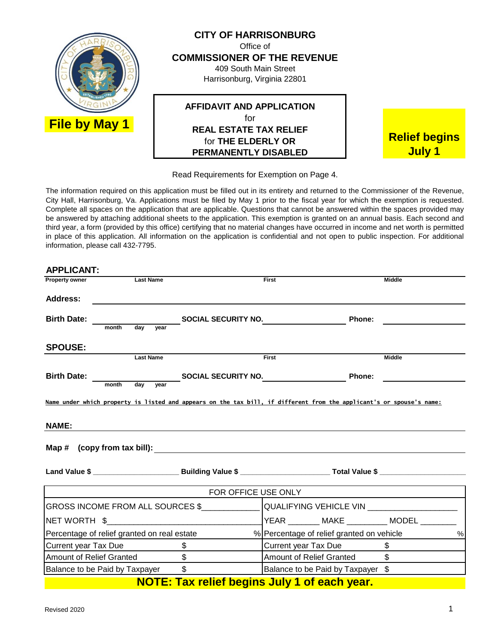

Read Requirements for Exemption on Page 4.

The information required on this application must be filled out in its entirety and returned to the Commissioner of the Revenue, City Hall, Harrisonburg, Va. Applications must be filed by May 1 prior to the fiscal year for which the exemption is requested. Complete all spaces on the application that are applicable. Questions that cannot be answered within the spaces provided may be answered by attaching additional sheets to the application. This exemption is granted on an annual basis. Each second and third year, a form (provided by this office) certifying that no material changes have occurred in income and net worth is permitted in place of this application. All information on the application is confidential and not open to public inspection. For additional information, please call 432-7795.

| <b>APPLICANT:</b>                           |                  |                                                |                                                                                                                      |                |
|---------------------------------------------|------------------|------------------------------------------------|----------------------------------------------------------------------------------------------------------------------|----------------|
| <b>Property owner</b>                       | <b>Last Name</b> |                                                | First<br><b>Middle</b>                                                                                               |                |
| <b>Address:</b>                             |                  |                                                |                                                                                                                      |                |
| <b>Birth Date:</b><br>month                 | day<br>vear      | <b>SOCIAL SECURITY NO. SOCIAL SECURITY NO.</b> | <b>Phone:</b>                                                                                                        |                |
| <b>SPOUSE:</b>                              |                  |                                                |                                                                                                                      |                |
|                                             | <b>Last Name</b> |                                                | First                                                                                                                | <b>Middle</b>  |
| <b>Birth Date:</b>                          |                  | month day year SOCIAL SECURITY NO.             | Phone:                                                                                                               |                |
| NAME:                                       |                  |                                                | Name under which property is listed and appears on the tax bill, if different from the applicant's or spouse's name: |                |
|                                             |                  |                                                |                                                                                                                      |                |
|                                             |                  |                                                |                                                                                                                      |                |
|                                             |                  | <b>EXAMPLE FOR OFFICE USE ONLY</b>             |                                                                                                                      |                |
|                                             |                  |                                                |                                                                                                                      |                |
|                                             |                  |                                                |                                                                                                                      |                |
| Percentage of relief granted on real estate |                  |                                                | % Percentage of relief granted on vehicle                                                                            | %              |
| Current year Tax Due                        |                  | $\frac{1}{2}$                                  | Current year Tax Due                                                                                                 | \$             |
| Amount of Relief Granted                    |                  | $\frac{1}{2}$                                  | Amount of Relief Granted                                                                                             | $\mathfrak{L}$ |
| Balance to be Paid by Taxpayer              |                  | $\frac{1}{2}$                                  | Balance to be Paid by Taxpayer \$                                                                                    |                |
|                                             |                  |                                                | <b>NOTE: Tax relief begins July 1 of each year.</b>                                                                  |                |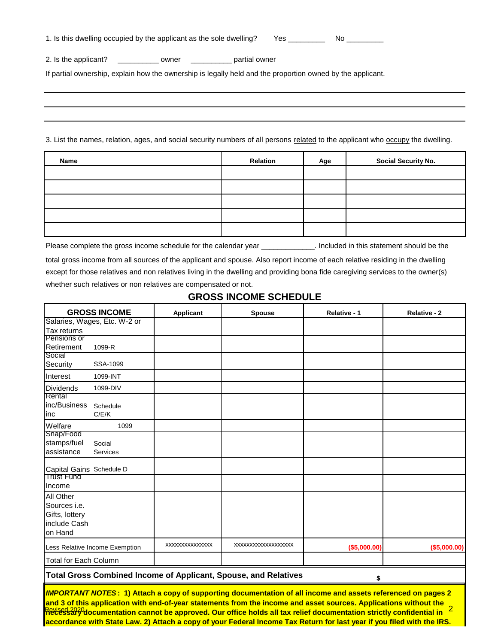| 2. Is the applicant? compared to be partial owner                                                          |                 |     |                                                                                                                                 |
|------------------------------------------------------------------------------------------------------------|-----------------|-----|---------------------------------------------------------------------------------------------------------------------------------|
| If partial ownership, explain how the ownership is legally held and the proportion owned by the applicant. |                 |     |                                                                                                                                 |
|                                                                                                            |                 |     |                                                                                                                                 |
|                                                                                                            |                 |     |                                                                                                                                 |
|                                                                                                            |                 |     |                                                                                                                                 |
|                                                                                                            |                 |     |                                                                                                                                 |
|                                                                                                            |                 |     |                                                                                                                                 |
|                                                                                                            |                 |     |                                                                                                                                 |
|                                                                                                            |                 |     | 3. List the names, relation, ages, and social security numbers of all persons related to the applicant who occupy the dwelling. |
|                                                                                                            |                 |     |                                                                                                                                 |
| Name                                                                                                       | <b>Relation</b> | Age | <b>Social Security No.</b>                                                                                                      |
|                                                                                                            |                 |     |                                                                                                                                 |
|                                                                                                            |                 |     |                                                                                                                                 |

Please complete the gross income schedule for the calendar year \_\_\_\_\_\_\_\_\_\_\_\_\_\_. Included in this statement should be the

total gross income from all sources of the applicant and spouse. Also report income of each relative residing in the dwelling except for those relatives and non relatives living in the dwelling and providing bona fide caregiving services to the owner(s) whether such relatives or non relatives are compensated or not.

# **GROSS INCOME SCHEDULE**

| <b>GROSS INCOME</b>                           |                                                                                                                                                                                                                                                                                                                                                                                                                                                                                                                       | Applicant       | <b>Spouse</b>                                                          | Relative - 1    | <b>Relative - 2</b> |
|-----------------------------------------------|-----------------------------------------------------------------------------------------------------------------------------------------------------------------------------------------------------------------------------------------------------------------------------------------------------------------------------------------------------------------------------------------------------------------------------------------------------------------------------------------------------------------------|-----------------|------------------------------------------------------------------------|-----------------|---------------------|
|                                               | Salaries, Wages, Etc. W-2 or                                                                                                                                                                                                                                                                                                                                                                                                                                                                                          |                 |                                                                        |                 |                     |
| Tax returns                                   |                                                                                                                                                                                                                                                                                                                                                                                                                                                                                                                       |                 |                                                                        |                 |                     |
| Pensions or                                   |                                                                                                                                                                                                                                                                                                                                                                                                                                                                                                                       |                 |                                                                        |                 |                     |
| Retirement                                    | 1099-R                                                                                                                                                                                                                                                                                                                                                                                                                                                                                                                |                 |                                                                        |                 |                     |
| Social<br>Security                            | SSA-1099                                                                                                                                                                                                                                                                                                                                                                                                                                                                                                              |                 |                                                                        |                 |                     |
| Interest                                      | 1099-INT                                                                                                                                                                                                                                                                                                                                                                                                                                                                                                              |                 |                                                                        |                 |                     |
| <b>Dividends</b><br>Rental                    | 1099-DIV                                                                                                                                                                                                                                                                                                                                                                                                                                                                                                              |                 |                                                                        |                 |                     |
| inc/Business<br>inc                           | Schedule<br>C/E/K                                                                                                                                                                                                                                                                                                                                                                                                                                                                                                     |                 |                                                                        |                 |                     |
| Welfare                                       | 1099                                                                                                                                                                                                                                                                                                                                                                                                                                                                                                                  |                 |                                                                        |                 |                     |
| Snap/Food<br>stamps/fuel<br>assistance        | Social<br>Services                                                                                                                                                                                                                                                                                                                                                                                                                                                                                                    |                 |                                                                        |                 |                     |
| Capital Gains Schedule D<br><b>Trust Fund</b> |                                                                                                                                                                                                                                                                                                                                                                                                                                                                                                                       |                 |                                                                        |                 |                     |
| Income                                        |                                                                                                                                                                                                                                                                                                                                                                                                                                                                                                                       |                 |                                                                        |                 |                     |
| <b>All Other</b>                              |                                                                                                                                                                                                                                                                                                                                                                                                                                                                                                                       |                 |                                                                        |                 |                     |
| Sources i.e.                                  |                                                                                                                                                                                                                                                                                                                                                                                                                                                                                                                       |                 |                                                                        |                 |                     |
| Gifts, lottery                                |                                                                                                                                                                                                                                                                                                                                                                                                                                                                                                                       |                 |                                                                        |                 |                     |
| include Cash                                  |                                                                                                                                                                                                                                                                                                                                                                                                                                                                                                                       |                 |                                                                        |                 |                     |
| on Hand                                       |                                                                                                                                                                                                                                                                                                                                                                                                                                                                                                                       |                 |                                                                        |                 |                     |
|                                               | Less Relative Income Exemption                                                                                                                                                                                                                                                                                                                                                                                                                                                                                        | xxxxxxxxxxxxxxx | XXXXXXXXXXXXXXXXXX                                                     | $($ \$5,000.00) | ( \$5,000.00)       |
| <b>Total for Each Column</b>                  |                                                                                                                                                                                                                                                                                                                                                                                                                                                                                                                       |                 |                                                                        |                 |                     |
|                                               |                                                                                                                                                                                                                                                                                                                                                                                                                                                                                                                       |                 | <b>Total Gross Combined Income of Applicant, Spouse, and Relatives</b> | \$              |                     |
|                                               | <b>IMPORTANT NOTES: 1)</b> Attach a copy of supporting documentation of all income and assets referenced on pages 2<br>and 3 of this application with end-of-year statements from the income and asset sources. Applications without the<br>Revised 2020<br><mark>Recessary documentation cannot be approved. Our office holds all tax relief documentation strictly confidential in</mark><br>accordance with State Law. 2) Attach a copy of your Federal Income Tax Return for last year if you filed with the IRS. |                 |                                                                        |                 |                     |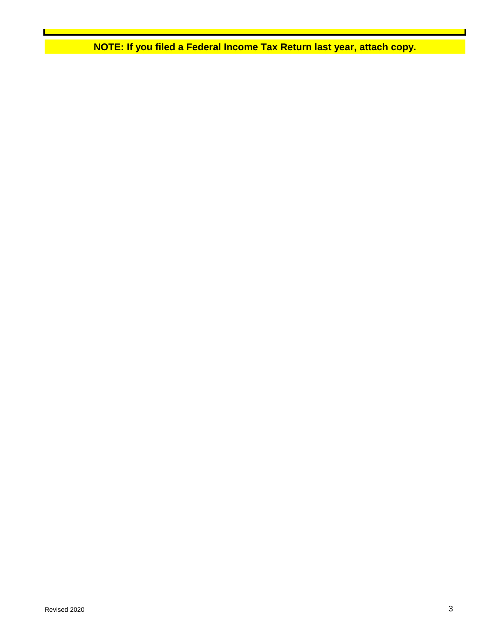**NOTE: If you filed a Federal Income Tax Return last year, attach copy.**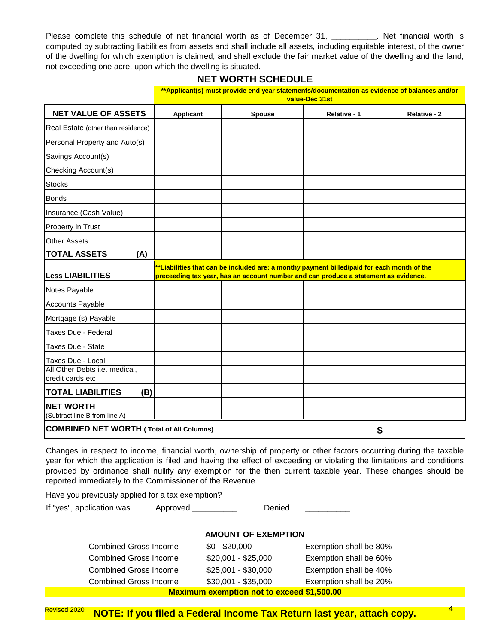Please complete this schedule of net financial worth as of December 31, \_\_\_\_\_\_\_\_\_\_. Net financial worth is computed by subtracting liabilities from assets and shall include all assets, including equitable interest, of the owner of the dwelling for which exemption is claimed, and shall exclude the fair market value of the dwelling and the land, not exceeding one acre, upon which the dwelling is situated.

## **NET WORTH SCHEDULE**

|                                                   | **Applicant(s) must provide end year statements/documentation as evidence of balances and/or<br>value-Dec 31st |                                                                                                                                                                                   |              |              |
|---------------------------------------------------|----------------------------------------------------------------------------------------------------------------|-----------------------------------------------------------------------------------------------------------------------------------------------------------------------------------|--------------|--------------|
| <b>NET VALUE OF ASSETS</b>                        | <b>Applicant</b>                                                                                               | <b>Spouse</b>                                                                                                                                                                     | Relative - 1 | Relative - 2 |
| Real Estate (other than residence)                |                                                                                                                |                                                                                                                                                                                   |              |              |
| Personal Property and Auto(s)                     |                                                                                                                |                                                                                                                                                                                   |              |              |
| Savings Account(s)                                |                                                                                                                |                                                                                                                                                                                   |              |              |
| Checking Account(s)                               |                                                                                                                |                                                                                                                                                                                   |              |              |
| <b>Stocks</b>                                     |                                                                                                                |                                                                                                                                                                                   |              |              |
| <b>Bonds</b>                                      |                                                                                                                |                                                                                                                                                                                   |              |              |
| Insurance (Cash Value)                            |                                                                                                                |                                                                                                                                                                                   |              |              |
| Property in Trust                                 |                                                                                                                |                                                                                                                                                                                   |              |              |
| <b>Other Assets</b>                               |                                                                                                                |                                                                                                                                                                                   |              |              |
| <b>TOTAL ASSETS</b><br>(A)                        |                                                                                                                |                                                                                                                                                                                   |              |              |
| <b>Less LIABILITIES</b>                           |                                                                                                                | **Liabilities that can be included are: a monthy payment billed/paid for each month of the<br>preceeding tax year, has an account number and can produce a statement as evidence. |              |              |
| Notes Payable                                     |                                                                                                                |                                                                                                                                                                                   |              |              |
| <b>Accounts Payable</b>                           |                                                                                                                |                                                                                                                                                                                   |              |              |
| Mortgage (s) Payable                              |                                                                                                                |                                                                                                                                                                                   |              |              |
| Taxes Due - Federal                               |                                                                                                                |                                                                                                                                                                                   |              |              |
| Taxes Due - State                                 |                                                                                                                |                                                                                                                                                                                   |              |              |
| Taxes Due - Local                                 |                                                                                                                |                                                                                                                                                                                   |              |              |
| All Other Debts i.e. medical,                     |                                                                                                                |                                                                                                                                                                                   |              |              |
| credit cards etc                                  |                                                                                                                |                                                                                                                                                                                   |              |              |
| <b>TOTAL LIABILITIES</b><br>(B)                   |                                                                                                                |                                                                                                                                                                                   |              |              |
| <b>NET WORTH</b><br>(Subtract line B from line A) |                                                                                                                |                                                                                                                                                                                   |              |              |

Changes in respect to income, financial worth, ownership of property or other factors occurring during the taxable year for which the application is filed and having the effect of exceeding or violating the limitations and conditions provided by ordinance shall nullify any exemption for the then current taxable year. These changes should be reported immediately to the Commissioner of the Revenue.

Have you previously applied for a tax exemption?

If "yes", application was Approved \_\_\_\_\_\_\_\_\_\_\_\_ Denied

## **AMOUNT OF EXEMPTION**

| Maximum exemption pot to exceed \$1,500,00 |                     |                        |  |  |
|--------------------------------------------|---------------------|------------------------|--|--|
| <b>Combined Gross Income</b>               | $$30,001 - $35,000$ | Exemption shall be 20% |  |  |
| <b>Combined Gross Income</b>               | $$25,001 - $30,000$ | Exemption shall be 40% |  |  |
| <b>Combined Gross Income</b>               | $$20,001 - $25,000$ | Exemption shall be 60% |  |  |
| <b>Combined Gross Income</b>               | $$0 - $20,000$      | Exemption shall be 80% |  |  |

**Maximum exemption not to exceed \$1,500.00**

<sup>Revised 2020</sup> NOTE: If you filed a Federal Income Tax Return last year, attach copy. <sup>4</sup>